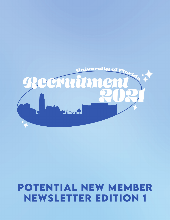# **POTENTIAL NEW MEMBER NEWSLETTER EDITION 1**

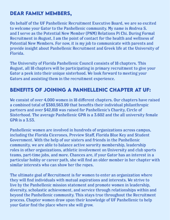# **Dear family members,**

On behalf of the UF Panhellenic Recruitment Executive Board, we are so excited to welcome your Gator to the Panhellenic community. My name is Andrea S. and I serve as the Potential New Member (PNM) Relations Pi Chi. During Formal Recruitment in August, I am the point of contact for the health and wellness of Potential New Members. For now, it is my job to communicate with parents and provide insight about Panhellenic Recruitment and Greek life at the University of Florida.

The University of Florida Panhellenic Council consists of 18 chapters. This August, all 18 chapters will be participating in primary recruitment to give your Gator a peek into their unique sisterhood. We look forward to meeting your Gators and assisting them in the recruitment experience.

# **Benefits of joining a Panhellenic chapter at UF:**

We consist of over 4,000 women in 18 different chapters. Our chapters have raised a combined total of \$380,563.99 that benefits their individual philanthropic partners and over \$42,818 was raised for Panhellenic's Charity, Circle of Sisterhood. The average Panhellenic GPA is a 3.602 and the all university female GPA is a 3.53.

Panhellenic women are involved in hundreds of organizations across campus, including the Florida Cicerones, Preview Staff, Florida Blue Key and Student Government. With the help of our sisters and friends in the Panhellenic community, we are able to balance active sorority membership, leadership roles in other organizations, athletic involvement on University and club sports teams, part-time jobs, and more. Chances are, if your Gator has an interest in a particular hobby or career path, she will find an older member in her chapter with similar interests who can show her the ropes.

The ultimate goal of Recruitment is for women to enter an organization where they will find individuals with mutual aspirations and interests. We strive to live by the Panhellenic mission statement and promote women in leadership, diversity, scholastic achievement, and service through relationships within and beyond the Panhellenic community. This stays true throughout the Recruitment process. Chapter women draw upon their knowledge of UF Panhellenic to help your Gator find the place where she will grow.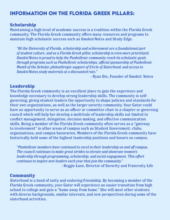## **Information on the Florida Greek Pillars:**

#### **Scholarship**

Maintaining a high level of academic success is a tradition within the Florida Greek community. The Florida Greek community offers many resources and programs to maintain high scholastic success such as Smokin'Notes and Study Edge.

*"At the University of Florida, scholarship and achievement are a foundational part of student culture, and as a Florida Greek pillar, scholarship is even more prioritized. Smokin'Notes is proud to help the Panhellenic community reach its scholastic goals through programs such as Panhellenic scholarships, official sponsorship of Panhellenic Month of the Scholar, philanthropic support of Circle of Sisterhood, and access to Smokin'Notes study materials at a discounted rate."*

- Ryan Dix, Founder of Smokin' Notes

### **Leadership**

The Florida Greek community is an excellent place to gain the experience and knowledge necessary to develop strong leadership skills. The community is selfgoverning, giving student leaders the opportunity to shape policies and standards for their own organizations, as well as the larger sorority community. Your Gator could have an opportunity to serve as an officer or committee chair in a chapter or governing council which will help her develop a multitude of leadership skills not limited to conflict management, delegation, decision making, and effective communication skills. Being a member of the Florida Greek community often serves as a "gateway to involvement" in other areas of campus such as Student Government, clubs, organizations, and campus honoraries. Members of the Florida Greek community have historically held some of the highest leadership positions and honors on campus.

*"Panhellenic members have continued to excel in their leadership on and off campus. The council continues to make great strides to elevate and showcase women's leadership through programming, scholarship, and social engagement. This effort continues to inspire new leaders each year that join the community."*  - Reggie Lane, Director of Sorority and Fraternity Life

#### **Community**

Sisterhood is a bond of unity and enduring friendship. By becoming a member of the Florida Greek community, your Gator will experience an easier transition from high school to college and gain a "home away from home." She will meet other students with diverse backgrounds, similar interests, and new perspectives during some of the sisterhood activities.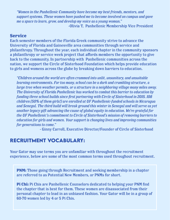*"Women in the Panhellenic Community have become my best friends, mentors, and support systems. These women have pushed me to become involved on campus and gave me a space to learn, grow, and develop my voice as a young woman."*  -Olivia T, Panhellenic Membership Vice President

#### **Service**

Each semester members of the Florida Greek community strive to advance the University of Florida and Gainesville area communities through service and philanthropy. Throughout the year, each individual chapter in the community sponsors a philanthropy or service week project that affords members the opportunity to give back to the community. In partnership with Panhellenic communities across the nation, we support the Circle of Sisterhood Foundation which helps provide education to girls and womens across the globe by breaking down barriers to education.

*"Children around the world are often crammed into unlit, unsanitary, and unsuitable learning environments. For too many, school can be a dark and crumbling structure, a large tree when weather permits, or a structure in a neighboring village many miles away. The University of Florida Panhellenic has worked to combat this barrier to education by funding three school builds since first partnering with Circle of Sisterhood in 2015. 108 children (50% of them girls!) are enrolled at UF Panhellenic-funded schools in Nicaragua and Senegal. The third build will break ground this winter in Senegal and will serve as yet another legacy gift advancing the cause of global equity in education. We're grateful for the UF Panhellenic's commitment to Circle of Sisterhood's mission of removing barriers to education for girls and women. Your support is changing lives and improving communities for generations to come."* 

- Ginny Carroll, Executive Director/Founder of Circle of Sisterhood

## **Recruitment Vocabulary:**

Your Gator may use terms you are unfamiliar with throughout the recruitment experience, below are some of the most common terms used throughout recruitment.

**PNM:** Those going through Recruitment and seeking membership in a chapter are referred to as Potential New Members, or PNMs for short.

**Pi Chi:** Pi Chis are Panhellenic Counselors dedicated to helping your PNM find the chapter that is best for them. These women are disassociated from their personal chapter to lead in an unbiased fashion. Your Gator will be in a group of 60-70 women led by 4 or 5 Pi Chis.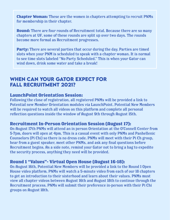**Chapter Woman:** These are the women in chapters attempting to recruit PNMs for membership in their chapter.

**Round:** There are four rounds of Recruitment total. Because there are so many chapters at UF, some of these rounds are split up over two days. The rounds become more formal as Recruitment progresses.

**Party:** There are several parties that occur during the day. Parties are timed slots when your PNM is scheduled to speak with a chapter woman. It is normal to see time slots labeled "No Party Scheduled." This is when your Gator can wind down, drink some water and take a break!

## **When can your Gator expect for Fall Recruitment 2021?**

#### **LaunchPoint Orientation Session:**

Following the close of registration, all registered PNMs will be provided a link to Potential new Member Orientation modules via LaunchPoint. Potential New Members will be required to watch all videos on this platform and complete all personal reflection questions inside the window of August 9th through August 15th.

#### **Recruitment In-Person Orientation Session (August 17):**

On August 17th PNMs will attend an in person Orientation at the O'Connell Center from 5-7pm, doors will open at 4pm. This is a casual event with only PNMs and Panhellenic Counselors (Pi Chi) so there is no dress code. PNMs will meet with their Pi Ch group, hear from a guest speaker, meet other PNMs, and ask any final questions before Recruitment begins. As a side note, remind your Gator not to bring a bag to expedite the security process, anything they need will be provided.

#### **Round 1 "Values"- Virtual Open House (August 16-18):**

On August 16th, Potential New Members will be provided a link to the Round 1 Open House video platform. PNMs will watch a 5-minute video from each of our 18 chapters to get an introduction to their sisterhood and learn about their values. PNMs must view all chapter videos between August 16th and August 18th to continue through the Recruitment process. PNMs will submit their preference in-person with their Pi Chi groups on August 18th.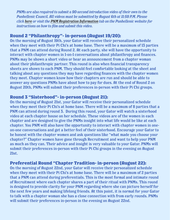*PNMs are also required to submit a 90-second introduction video of their own to the Panhellenic Council. All videos must be submitted by August 6th at 11:59 P.M. Please click [here](https://c5110381-76d4-44da-a915-a23486538d7c.filesusr.com/ugd/a29645_42ae24ff635d4b8b82556784b55c5eb6.pdf) or visit the [PNM Registration Information](https://www.ufpanhellenic.org/pnm-registration) tab on the Panhellenic website for instructions on how to film and submit this video.*

#### **Round 2 "Philanthropy"- in-person (August 19/20):**

On the morning of August 19th, your Gator will receive their personalized schedule when they meet with their Pi Chi's at home base. There will be a maximum of 13 parties that a PNM can attend during Round 2. At each party, she will have the opportunity to interact with chapter women in 1-on-1 conversations about philanthropy and finances. PNMs may be shown a short video or hear an announcement from a chapter woman about their philanthropic partner. This round is also when financial transparency sheets are shown to each PNM. They should feel comfortable looking at the sheet and talking about any questions they may have regarding finances with the chapter women they meet. Chapter women know how their chapters are run and should be able to answer any questions PNMs have about how to pay for dues. At the end of Round 2 on August 20th, PNMs will submit their preferences in-person with their Pi Chi groups.

#### **Round 3 "Sisterhood"- in-person (August 21):**

On the morning of August 21st, your Gator will receive their personalized schedule when they meet their Pi Chi's at home base. There will be a maximum of 8 parties that a PNM can attend during round 3. During this round, your Gator will watch a sisterhood video at each chapter house on her schedule. These videos are of the women in each chapter and are designed to give the PNMs insight into what life would be like at each chapter. You PNM will also have the opportunity to interact with chapter women in oneon-one conversations and get a better feel of their sisterhood. Encourage your Gator to be honest with the chapter women and ask questions like "what made you choose your chapter?" Chapter women have gone through Recruitment and want to help your PNM as much as they can. Their advice and insight is very valuable to your Gator. PNMs will submit their preferences in-person with their Pi Chi groups in the evening on August 21st.

## **Preferential Round "Chapter Tradition- in-person (August 22):**

On the morning of August 22nd, your Gator will receive their personalized schedule when they meet with their Pi Chi's at home base. There will be a maximum of 2 parties that a PNM can attend during preferentials. This is the most formal and intimate round of Recruitment where each chapter shares a part of their ritual with PNMs. This round is designed to provide clarity for your PNM regarding where she can picture herself for the next few years and making lifelong friends. At this point, it is normal for your Gator to talk with a chapter woman she has a close connection with from early rounds. PNMs will submit their preferences in-person in the evening on August 22nd.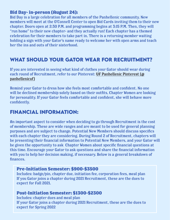#### **Bid Day- in-person (August 24):**

Bid Day is a large celebration for all members of the Panhellenic community. New members will meet at the O'Connell Center to open Bid Cards inviting them to their new chapter. Doors open at 2:30 P.M. and programming begins at 3:15 P.M. Then, they will "run home" to their new chapter- and they actually run! Each chapter has a themed celebration for their members to take part in. There is a returning member waiting holding a sign with your Gator's name ready to welcome her with open arms and teach her the ins and outs of their sisterhood.

## **What should your Gator wear for recruitment?**

If you are interested in seeing what kind of clothes your Gator should wear during each round of Recruitment, refer to our Pinterest: [UF Panhellenic Pinterest \(@](https://www.pinterest.com/panhellenicuf/_saved/) [panhellenicuf\)](https://www.pinterest.com/panhellenicuf/_saved/)

Remind your Gator to dress how she feels most comfortable and confident. No one will be declined membership solely based on their outfits, Chapter Women are looking for personality. If your Gator feels comfortable and confident, she will behave more confidently.

# **Financial Information:**

An important aspect to consider when deciding to go through Recruitment is the cost of membership. These are wide ranges and are meant to be used for general planning purposes and are subject to change. Potential New Members should discuss specifics with each chapter they are considering. During Round 2 of Recruitment, chapters will be presenting their financial information to Potential New Members, and your Gator will be given the opportunity to ask Chapter Women about specific financial questions at this time. Encourage your Gator to ask questions and share the financial information with you to help her decision making, if necessary. Below is a general breakdown of finances.

#### **Pre-Initiation Semester: \$900-\$3500**

Includes: badge/pin, chapter due, initiation fee, corporation fees, meal plan If you Gator joins a chapter during 2021 Recruitment, these are the dues to expect for Fall 2021.

#### **Post-Initiation Semester: \$1300-\$2300**

Includes: chapter dues and meal plan If your Gator joins a chapter during 2021 Recruitment, these are the dues to expect for Spring 2022